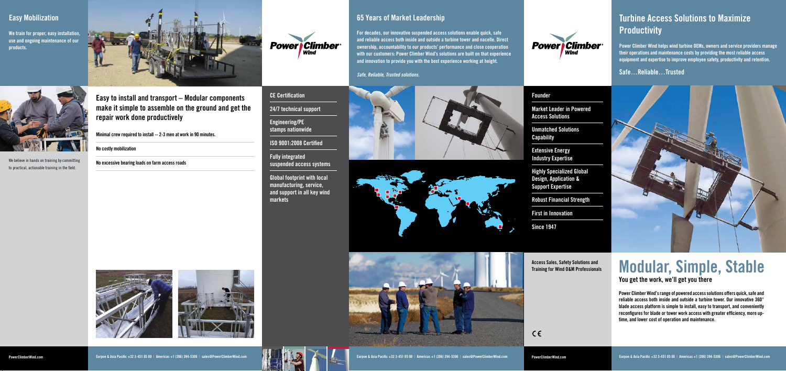**Eurpoe & Asia Pacific +32 3-451 05 00 | Americas +1 (206) 394-5306 | sales@PowerClimberWind.com** 

# **Turbine Access Solutions to Maximize Productivity**

**Power Climber Wind helps wind turbine OEMs, owners and service providers manage their operations and maintenance costs by providing the most reliable access equipment and expertise to improve employee safety, productivity and retention.**

## **Safe…Reliable…Trusted**



**Access Sales, Safety Solutions and Training for Wind O&M Professionals** 

> **Power Climber Wind's range of powered access solutions offers quick, safe and reliable access both inside and outside a turbine tower. Our innovative 360° blade access platform is simple to install, easy to transport, and conveniently reconfigures for blade or tower work access with greater efficiency, more uptime, and lower cost of operation and maintenance.**

 $C \in$ 

# **You get the work, we'll get you there Modular, Simple, Stable**

### **Founder**

**Market Leader in Powered Access Solutions**

**Unmatched Solutions Capability**

**Extensive Energy Industry Expertise**

**Highly Specialized Global Design, Application & Support Expertise**

**Robust Financial Strength**

**First in Innovation**

**Since 1947**

**Eurpoe & Asia Pacific +32 3-451 05 00 | Americas +1 (206) 394-5306 | sales@PowerClimberWind.com** 

## **65 Years of Market Leadership**





**For decades, our innovative suspended access solutions enable quick, safe and reliable access both inside and outside a turbine tower and nacelle. Direct ownership, accountability to our products' performance and close cooperation with our customers: Power Climber Wind's solutions are built on that experience and innovation to provide you with the best experience working at height.**

*Safe, Reliable, Trusted solutions.*







We believe in hands on training by committing to practical, actionable training in the field.

**Easy to install and transport – Modular components make it simple to assemble on the ground and get the repair work done productively**

**Minimal crew required to install -- 2-3 men at work in 90 minutes.**

**No costly mobilization**

**No excessive bearing loads on farm access roads**







**We train for proper, easy installation, use and ongoing maintenance of our products.**



# **Easy Mobilization**

**CE Certification**

**24/7 technical support**

**Engineering/PE stamps nationwide**

**ISO 9001:2008 Certified**

**Fully integrated** 

**suspended access systems**

**Global footprint with local manufacturing, service, and support in all key wind** 

**markets**